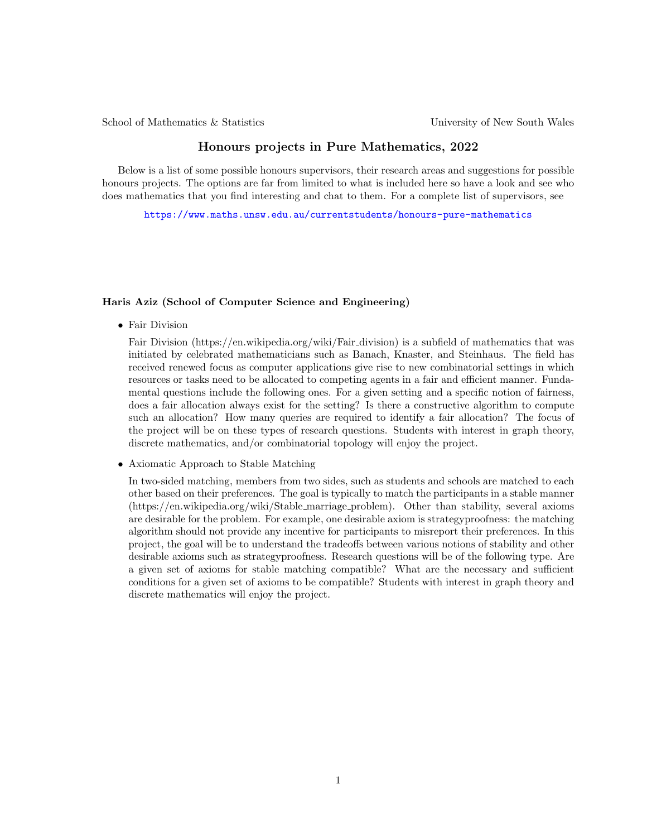School of Mathematics & Statistics University of New South Wales

# Honours projects in Pure Mathematics, 2022

Below is a list of some possible honours supervisors, their research areas and suggestions for possible honours projects. The options are far from limited to what is included here so have a look and see who does mathematics that you find interesting and chat to them. For a complete list of supervisors, see

<https://www.maths.unsw.edu.au/currentstudents/honours-pure-mathematics>

#### Haris Aziz (School of Computer Science and Engineering)

• Fair Division

Fair Division (https://en.wikipedia.org/wiki/Fair division) is a subfield of mathematics that was initiated by celebrated mathematicians such as Banach, Knaster, and Steinhaus. The field has received renewed focus as computer applications give rise to new combinatorial settings in which resources or tasks need to be allocated to competing agents in a fair and efficient manner. Fundamental questions include the following ones. For a given setting and a specific notion of fairness, does a fair allocation always exist for the setting? Is there a constructive algorithm to compute such an allocation? How many queries are required to identify a fair allocation? The focus of the project will be on these types of research questions. Students with interest in graph theory, discrete mathematics, and/or combinatorial topology will enjoy the project.

• Axiomatic Approach to Stable Matching

In two-sided matching, members from two sides, such as students and schools are matched to each other based on their preferences. The goal is typically to match the participants in a stable manner (https://en.wikipedia.org/wiki/Stable marriage problem). Other than stability, several axioms are desirable for the problem. For example, one desirable axiom is strategyproofness: the matching algorithm should not provide any incentive for participants to misreport their preferences. In this project, the goal will be to understand the tradeoffs between various notions of stability and other desirable axioms such as strategyproofness. Research questions will be of the following type. Are a given set of axioms for stable matching compatible? What are the necessary and sufficient conditions for a given set of axioms to be compatible? Students with interest in graph theory and discrete mathematics will enjoy the project.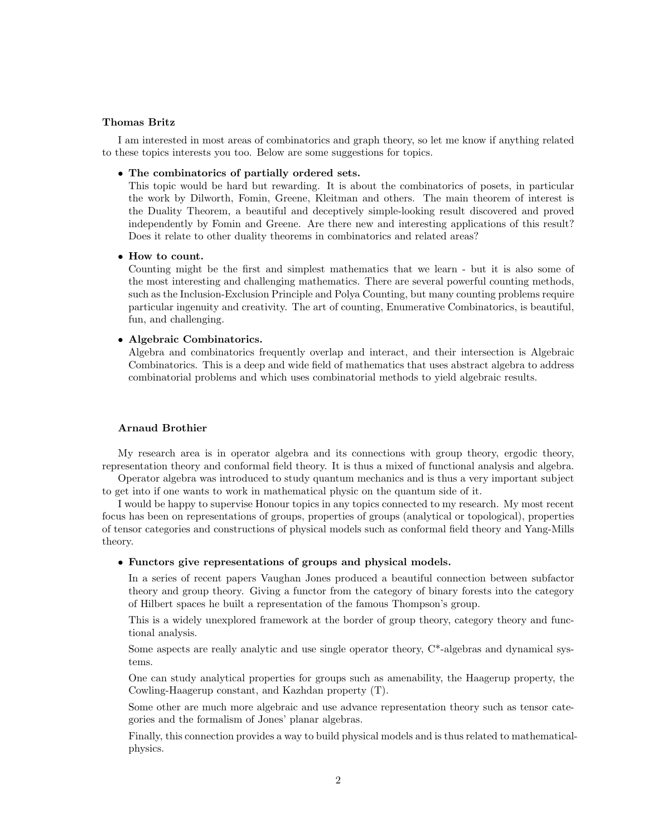#### Thomas Britz

I am interested in most areas of combinatorics and graph theory, so let me know if anything related to these topics interests you too. Below are some suggestions for topics.

# • The combinatorics of partially ordered sets.

This topic would be hard but rewarding. It is about the combinatorics of posets, in particular the work by Dilworth, Fomin, Greene, Kleitman and others. The main theorem of interest is the Duality Theorem, a beautiful and deceptively simple-looking result discovered and proved independently by Fomin and Greene. Are there new and interesting applications of this result? Does it relate to other duality theorems in combinatorics and related areas?

### • How to count.

Counting might be the first and simplest mathematics that we learn - but it is also some of the most interesting and challenging mathematics. There are several powerful counting methods, such as the Inclusion-Exclusion Principle and Polya Counting, but many counting problems require particular ingenuity and creativity. The art of counting, Enumerative Combinatorics, is beautiful, fun, and challenging.

#### • Algebraic Combinatorics.

Algebra and combinatorics frequently overlap and interact, and their intersection is Algebraic Combinatorics. This is a deep and wide field of mathematics that uses abstract algebra to address combinatorial problems and which uses combinatorial methods to yield algebraic results.

### Arnaud Brothier

My research area is in operator algebra and its connections with group theory, ergodic theory, representation theory and conformal field theory. It is thus a mixed of functional analysis and algebra.

Operator algebra was introduced to study quantum mechanics and is thus a very important subject to get into if one wants to work in mathematical physic on the quantum side of it.

I would be happy to supervise Honour topics in any topics connected to my research. My most recent focus has been on representations of groups, properties of groups (analytical or topological), properties of tensor categories and constructions of physical models such as conformal field theory and Yang-Mills theory.

#### • Functors give representations of groups and physical models.

In a series of recent papers Vaughan Jones produced a beautiful connection between subfactor theory and group theory. Giving a functor from the category of binary forests into the category of Hilbert spaces he built a representation of the famous Thompson's group.

This is a widely unexplored framework at the border of group theory, category theory and functional analysis.

Some aspects are really analytic and use single operator theory, C\*-algebras and dynamical systems.

One can study analytical properties for groups such as amenability, the Haagerup property, the Cowling-Haagerup constant, and Kazhdan property (T).

Some other are much more algebraic and use advance representation theory such as tensor categories and the formalism of Jones' planar algebras.

Finally, this connection provides a way to build physical models and is thus related to mathematicalphysics.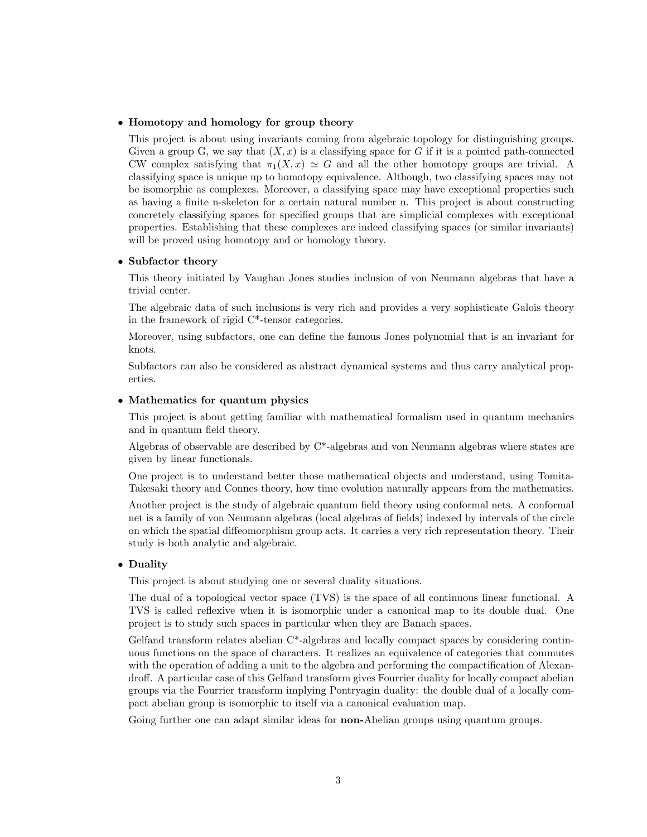### • Homotopy and homology for group theory

This project is about using invariants coming from algebraic topology for distinguishing groups. Given a group G, we say that  $(X, x)$  is a classifying space for G if it is a pointed path-connected CW complex satisfying that  $\pi_1(X, x) \simeq G$  and all the other homotopy groups are trivial. A classifying space is unique up to homotopy equivalence. Although, two classifying spaces may not be isomorphic as complexes. Moreover, a classifying space may have exceptional properties such as having a finite n-skeleton for a certain natural number n. This project is about constructing concretely classifying spaces for specified groups that are simplicial complexes with exceptional properties. Establishing that these complexes are indeed classifying spaces (or similar invariants) will be proved using homotopy and or homology theory.

#### • Subfactor theory

This theory initiated by Vaughan Jones studies inclusion of von Neumann algebras that have a trivial center.

The algebraic data of such inclusions is very rich and provides a very sophisticate Galois theory in the framework of rigid C\*-tensor categories.

Moreover, using subfactors, one can define the famous Jones polynomial that is an invariant for knots.

Subfactors can also be considered as abstract dynamical systems and thus carry analytical properties.

## • Mathematics for quantum physics

This project is about getting familiar with mathematical formalism used in quantum mechanics and in quantum field theory.

Algebras of observable are described by C\*-algebras and von Neumann algebras where states are given by linear functionals.

One project is to understand better those mathematical objects and understand, using Tomita-Takesaki theory and Connes theory, how time evolution naturally appears from the mathematics.

Another project is the study of algebraic quantum field theory using conformal nets. A conformal net is a family of von Neumann algebras (local algebras of fields) indexed by intervals of the circle on which the spatial diffeomorphism group acts. It carries a very rich representation theory. Their study is both analytic and algebraic.

## • Duality

This project is about studying one or several duality situations.

The dual of a topological vector space (TVS) is the space of all continuous linear functional. A TVS is called reflexive when it is isomorphic under a canonical map to its double dual. One project is to study such spaces in particular when they are Banach spaces.

Gelfand transform relates abelian C\*-algebras and locally compact spaces by considering continuous functions on the space of characters. It realizes an equivalence of categories that commutes with the operation of adding a unit to the algebra and performing the compactification of Alexandroff. A particular case of this Gelfand transform gives Fourrier duality for locally compact abelian groups via the Fourrier transform implying Pontryagin duality: the double dual of a locally compact abelian group is isomorphic to itself via a canonical evaluation map.

Going further one can adapt similar ideas for **non-**Abelian groups using quantum groups.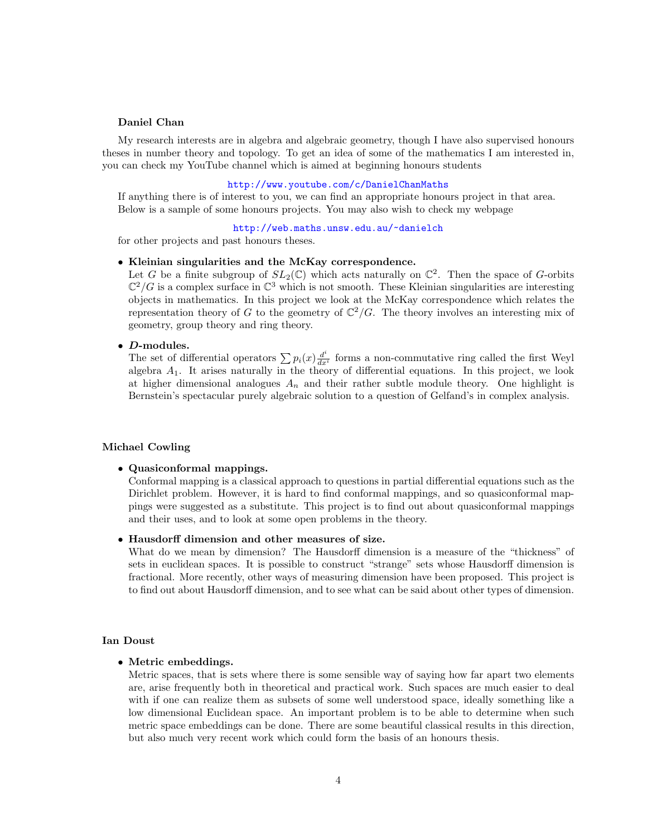### Daniel Chan

My research interests are in algebra and algebraic geometry, though I have also supervised honours theses in number theory and topology. To get an idea of some of the mathematics I am interested in, you can check my YouTube channel which is aimed at beginning honours students

### <http://www.youtube.com/c/DanielChanMaths>

If anything there is of interest to you, we can find an appropriate honours project in that area. Below is a sample of some honours projects. You may also wish to check my webpage

<http://web.maths.unsw.edu.au/~danielch>

for other projects and past honours theses.

### • Kleinian singularities and the McKay correspondence.

Let G be a finite subgroup of  $SL_2(\mathbb{C})$  which acts naturally on  $\mathbb{C}^2$ . Then the space of G-orbits  $\mathbb{C}^2/G$  is a complex surface in  $\mathbb{C}^3$  which is not smooth. These Kleinian singularities are interesting objects in mathematics. In this project we look at the McKay correspondence which relates the representation theory of G to the geometry of  $\mathbb{C}^2/G$ . The theory involves an interesting mix of geometry, group theory and ring theory.

#### • D-modules.

The set of differential operators  $\sum p_i(x) \frac{d^i}{dx^i}$  forms a non-commutative ring called the first Weyl algebra  $A_1$ . It arises naturally in the theory of differential equations. In this project, we look at higher dimensional analogues  $A_n$  and their rather subtle module theory. One highlight is Bernstein's spectacular purely algebraic solution to a question of Gelfand's in complex analysis.

#### Michael Cowling

#### • Quasiconformal mappings.

Conformal mapping is a classical approach to questions in partial differential equations such as the Dirichlet problem. However, it is hard to find conformal mappings, and so quasiconformal mappings were suggested as a substitute. This project is to find out about quasiconformal mappings and their uses, and to look at some open problems in the theory.

• Hausdorff dimension and other measures of size.

What do we mean by dimension? The Hausdorff dimension is a measure of the "thickness" of sets in euclidean spaces. It is possible to construct "strange" sets whose Hausdorff dimension is fractional. More recently, other ways of measuring dimension have been proposed. This project is to find out about Hausdorff dimension, and to see what can be said about other types of dimension.

#### Ian Doust

• Metric embeddings.

Metric spaces, that is sets where there is some sensible way of saying how far apart two elements are, arise frequently both in theoretical and practical work. Such spaces are much easier to deal with if one can realize them as subsets of some well understood space, ideally something like a low dimensional Euclidean space. An important problem is to be able to determine when such metric space embeddings can be done. There are some beautiful classical results in this direction, but also much very recent work which could form the basis of an honours thesis.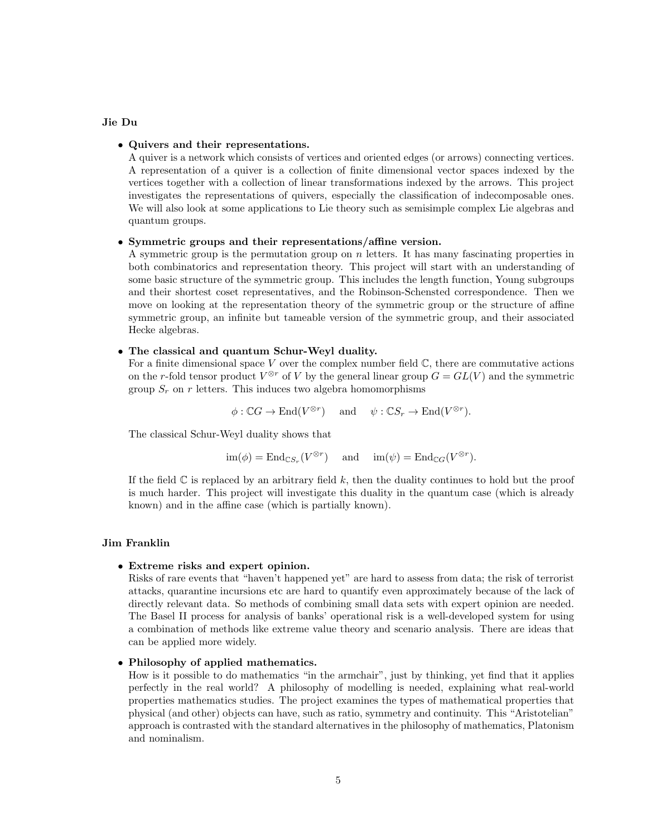#### Jie Du

### • Quivers and their representations.

A quiver is a network which consists of vertices and oriented edges (or arrows) connecting vertices. A representation of a quiver is a collection of finite dimensional vector spaces indexed by the vertices together with a collection of linear transformations indexed by the arrows. This project investigates the representations of quivers, especially the classification of indecomposable ones. We will also look at some applications to Lie theory such as semisimple complex Lie algebras and quantum groups.

#### • Symmetric groups and their representations/affine version.

A symmetric group is the permutation group on  $n$  letters. It has many fascinating properties in both combinatorics and representation theory. This project will start with an understanding of some basic structure of the symmetric group. This includes the length function, Young subgroups and their shortest coset representatives, and the Robinson-Schensted correspondence. Then we move on looking at the representation theory of the symmetric group or the structure of affine symmetric group, an infinite but tameable version of the symmetric group, and their associated Hecke algebras.

### • The classical and quantum Schur-Weyl duality.

For a finite dimensional space  $V$  over the complex number field  $\mathbb{C}$ , there are commutative actions on the r-fold tensor product  $V^{\otimes r}$  of V by the general linear group  $G = GL(V)$  and the symmetric group  $S_r$  on r letters. This induces two algebra homomorphisms

 $\phi : \mathbb{C}G \to \text{End}(V^{\otimes r})$  and  $\psi : \mathbb{C}S_r \to \text{End}(V^{\otimes r})$ .

The classical Schur-Weyl duality shows that

$$
im(\phi) = End_{\mathbb{C}S_r}(V^{\otimes r})
$$
 and  $im(\psi) = End_{\mathbb{C}G}(V^{\otimes r}).$ 

If the field  $\mathbb C$  is replaced by an arbitrary field k, then the duality continues to hold but the proof is much harder. This project will investigate this duality in the quantum case (which is already known) and in the affine case (which is partially known).

#### Jim Franklin

#### • Extreme risks and expert opinion.

Risks of rare events that "haven't happened yet" are hard to assess from data; the risk of terrorist attacks, quarantine incursions etc are hard to quantify even approximately because of the lack of directly relevant data. So methods of combining small data sets with expert opinion are needed. The Basel II process for analysis of banks' operational risk is a well-developed system for using a combination of methods like extreme value theory and scenario analysis. There are ideas that can be applied more widely.

### • Philosophy of applied mathematics.

How is it possible to do mathematics "in the armchair", just by thinking, yet find that it applies perfectly in the real world? A philosophy of modelling is needed, explaining what real-world properties mathematics studies. The project examines the types of mathematical properties that physical (and other) objects can have, such as ratio, symmetry and continuity. This "Aristotelian" approach is contrasted with the standard alternatives in the philosophy of mathematics, Platonism and nominalism.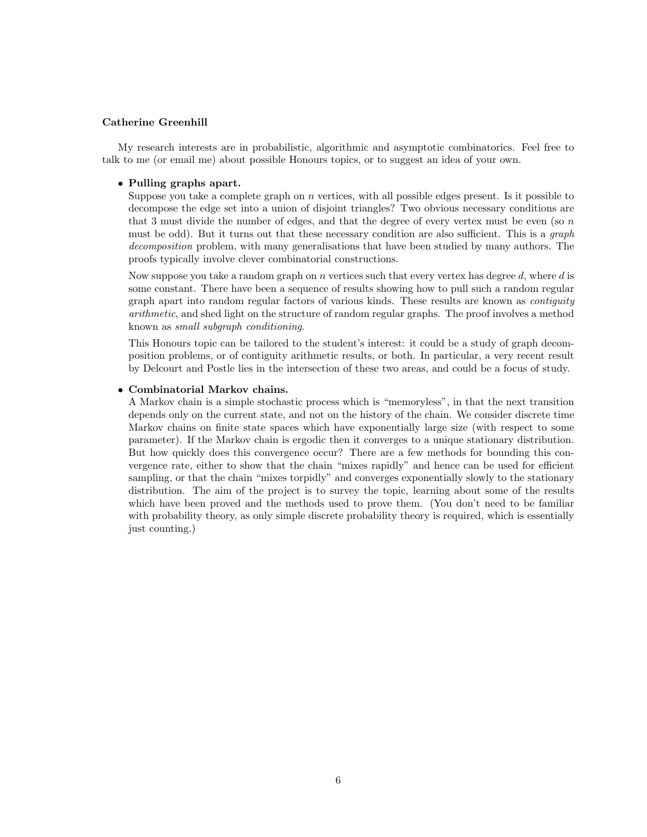## Catherine Greenhill

My research interests are in probabilistic, algorithmic and asymptotic combinatorics. Feel free to talk to me (or email me) about possible Honours topics, or to suggest an idea of your own.

#### • Pulling graphs apart.

Suppose you take a complete graph on n vertices, with all possible edges present. Is it possible to decompose the edge set into a union of disjoint triangles? Two obvious necessary conditions are that 3 must divide the number of edges, and that the degree of every vertex must be even (so  $n$ ) must be odd). But it turns out that these necessary condition are also sufficient. This is a *graph* decomposition problem, with many generalisations that have been studied by many authors. The proofs typically involve clever combinatorial constructions.

Now suppose you take a random graph on n vertices such that every vertex has degree d, where d is some constant. There have been a sequence of results showing how to pull such a random regular graph apart into random regular factors of various kinds. These results are known as contiguity arithmetic, and shed light on the structure of random regular graphs. The proof involves a method known as small subgraph conditioning.

This Honours topic can be tailored to the student's interest: it could be a study of graph decomposition problems, or of contiguity arithmetic results, or both. In particular, a very recent result by Delcourt and Postle lies in the intersection of these two areas, and could be a focus of study.

### • Combinatorial Markov chains.

A Markov chain is a simple stochastic process which is "memoryless", in that the next transition depends only on the current state, and not on the history of the chain. We consider discrete time Markov chains on finite state spaces which have exponentially large size (with respect to some parameter). If the Markov chain is ergodic then it converges to a unique stationary distribution. But how quickly does this convergence occur? There are a few methods for bounding this convergence rate, either to show that the chain "mixes rapidly" and hence can be used for efficient sampling, or that the chain "mixes torpidly" and converges exponentially slowly to the stationary distribution. The aim of the project is to survey the topic, learning about some of the results which have been proved and the methods used to prove them. (You don't need to be familiar with probability theory, as only simple discrete probability theory is required, which is essentially just counting.)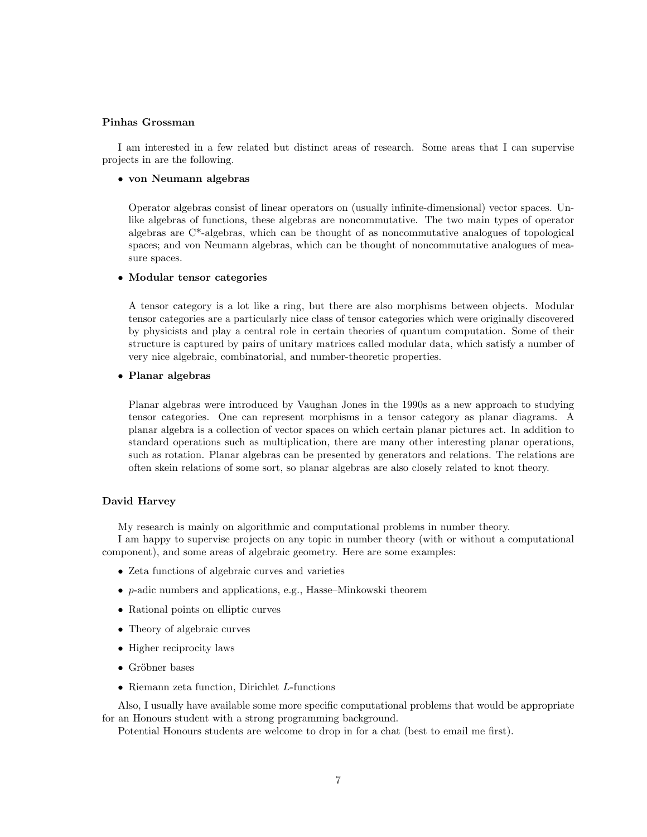# Pinhas Grossman

I am interested in a few related but distinct areas of research. Some areas that I can supervise projects in are the following.

## • von Neumann algebras

Operator algebras consist of linear operators on (usually infinite-dimensional) vector spaces. Unlike algebras of functions, these algebras are noncommutative. The two main types of operator algebras are C\*-algebras, which can be thought of as noncommutative analogues of topological spaces; and von Neumann algebras, which can be thought of noncommutative analogues of measure spaces.

## • Modular tensor categories

A tensor category is a lot like a ring, but there are also morphisms between objects. Modular tensor categories are a particularly nice class of tensor categories which were originally discovered by physicists and play a central role in certain theories of quantum computation. Some of their structure is captured by pairs of unitary matrices called modular data, which satisfy a number of very nice algebraic, combinatorial, and number-theoretic properties.

### • Planar algebras

Planar algebras were introduced by Vaughan Jones in the 1990s as a new approach to studying tensor categories. One can represent morphisms in a tensor category as planar diagrams. A planar algebra is a collection of vector spaces on which certain planar pictures act. In addition to standard operations such as multiplication, there are many other interesting planar operations, such as rotation. Planar algebras can be presented by generators and relations. The relations are often skein relations of some sort, so planar algebras are also closely related to knot theory.

### David Harvey

My research is mainly on algorithmic and computational problems in number theory.

I am happy to supervise projects on any topic in number theory (with or without a computational component), and some areas of algebraic geometry. Here are some examples:

- Zeta functions of algebraic curves and varieties
- p-adic numbers and applications, e.g., Hasse–Minkowski theorem
- Rational points on elliptic curves
- Theory of algebraic curves
- Higher reciprocity laws
- $\bullet$  Gröbner bases
- Riemann zeta function, Dirichlet L-functions

Also, I usually have available some more specific computational problems that would be appropriate for an Honours student with a strong programming background.

Potential Honours students are welcome to drop in for a chat (best to email me first).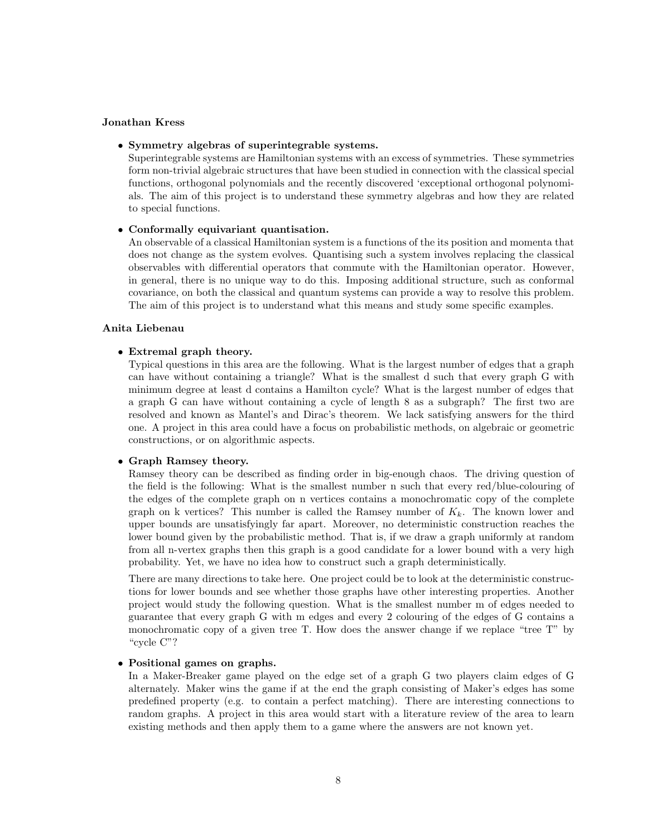#### Jonathan Kress

## • Symmetry algebras of superintegrable systems.

Superintegrable systems are Hamiltonian systems with an excess of symmetries. These symmetries form non-trivial algebraic structures that have been studied in connection with the classical special functions, orthogonal polynomials and the recently discovered 'exceptional orthogonal polynomials. The aim of this project is to understand these symmetry algebras and how they are related to special functions.

#### • Conformally equivariant quantisation.

An observable of a classical Hamiltonian system is a functions of the its position and momenta that does not change as the system evolves. Quantising such a system involves replacing the classical observables with differential operators that commute with the Hamiltonian operator. However, in general, there is no unique way to do this. Imposing additional structure, such as conformal covariance, on both the classical and quantum systems can provide a way to resolve this problem. The aim of this project is to understand what this means and study some specific examples.

#### Anita Liebenau

#### • Extremal graph theory.

Typical questions in this area are the following. What is the largest number of edges that a graph can have without containing a triangle? What is the smallest d such that every graph G with minimum degree at least d contains a Hamilton cycle? What is the largest number of edges that a graph G can have without containing a cycle of length 8 as a subgraph? The first two are resolved and known as Mantel's and Dirac's theorem. We lack satisfying answers for the third one. A project in this area could have a focus on probabilistic methods, on algebraic or geometric constructions, or on algorithmic aspects.

#### • Graph Ramsey theory.

Ramsey theory can be described as finding order in big-enough chaos. The driving question of the field is the following: What is the smallest number n such that every red/blue-colouring of the edges of the complete graph on n vertices contains a monochromatic copy of the complete graph on k vertices? This number is called the Ramsey number of  $K_k$ . The known lower and upper bounds are unsatisfyingly far apart. Moreover, no deterministic construction reaches the lower bound given by the probabilistic method. That is, if we draw a graph uniformly at random from all n-vertex graphs then this graph is a good candidate for a lower bound with a very high probability. Yet, we have no idea how to construct such a graph deterministically.

There are many directions to take here. One project could be to look at the deterministic constructions for lower bounds and see whether those graphs have other interesting properties. Another project would study the following question. What is the smallest number m of edges needed to guarantee that every graph G with m edges and every 2 colouring of the edges of G contains a monochromatic copy of a given tree T. How does the answer change if we replace "tree T" by "cycle C"?

#### • Positional games on graphs.

In a Maker-Breaker game played on the edge set of a graph G two players claim edges of G alternately. Maker wins the game if at the end the graph consisting of Maker's edges has some predefined property (e.g. to contain a perfect matching). There are interesting connections to random graphs. A project in this area would start with a literature review of the area to learn existing methods and then apply them to a game where the answers are not known yet.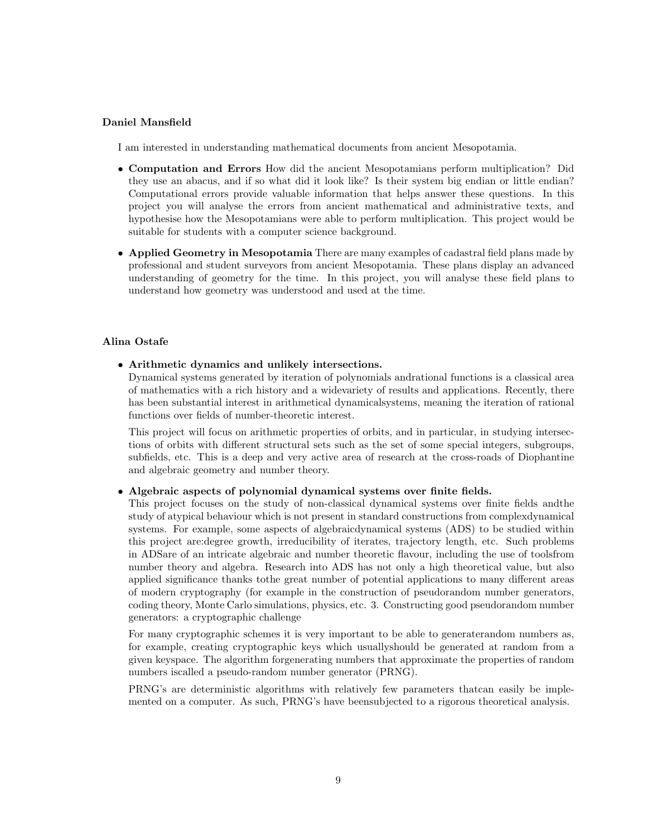# Daniel Mansfield

I am interested in understanding mathematical documents from ancient Mesopotamia.

- Computation and Errors How did the ancient Mesopotamians perform multiplication? Did they use an abacus, and if so what did it look like? Is their system big endian or little endian? Computational errors provide valuable information that helps answer these questions. In this project you will analyse the errors from ancient mathematical and administrative texts, and hypothesise how the Mesopotamians were able to perform multiplication. This project would be suitable for students with a computer science background.
- Applied Geometry in Mesopotamia There are many examples of cadastral field plans made by professional and student surveyors from ancient Mesopotamia. These plans display an advanced understanding of geometry for the time. In this project, you will analyse these field plans to understand how geometry was understood and used at the time.

## Alina Ostafe

• Arithmetic dynamics and unlikely intersections.

Dynamical systems generated by iteration of polynomials andrational functions is a classical area of mathematics with a rich history and a widevariety of results and applications. Recently, there has been substantial interest in arithmetical dynamicalsystems, meaning the iteration of rational functions over fields of number-theoretic interest.

This project will focus on arithmetic properties of orbits, and in particular, in studying intersections of orbits with different structural sets such as the set of some special integers, subgroups, subfields, etc. This is a deep and very active area of research at the cross-roads of Diophantine and algebraic geometry and number theory.

## • Algebraic aspects of polynomial dynamical systems over finite fields.

This project focuses on the study of non-classical dynamical systems over finite fields andthe study of atypical behaviour which is not present in standard constructions from complexdynamical systems. For example, some aspects of algebraicdynamical systems (ADS) to be studied within this project are:degree growth, irreducibility of iterates, trajectory length, etc. Such problems in ADSare of an intricate algebraic and number theoretic flavour, including the use of toolsfrom number theory and algebra. Research into ADS has not only a high theoretical value, but also applied significance thanks tothe great number of potential applications to many different areas of modern cryptography (for example in the construction of pseudorandom number generators, coding theory, Monte Carlo simulations, physics, etc. 3. Constructing good pseudorandom number generators: a cryptographic challenge

For many cryptographic schemes it is very important to be able to generaterandom numbers as, for example, creating cryptographic keys which usuallyshould be generated at random from a given keyspace. The algorithm forgenerating numbers that approximate the properties of random numbers iscalled a pseudo-random number generator (PRNG).

PRNG's are deterministic algorithms with relatively few parameters thatcan easily be implemented on a computer. As such, PRNG's have beensubjected to a rigorous theoretical analysis.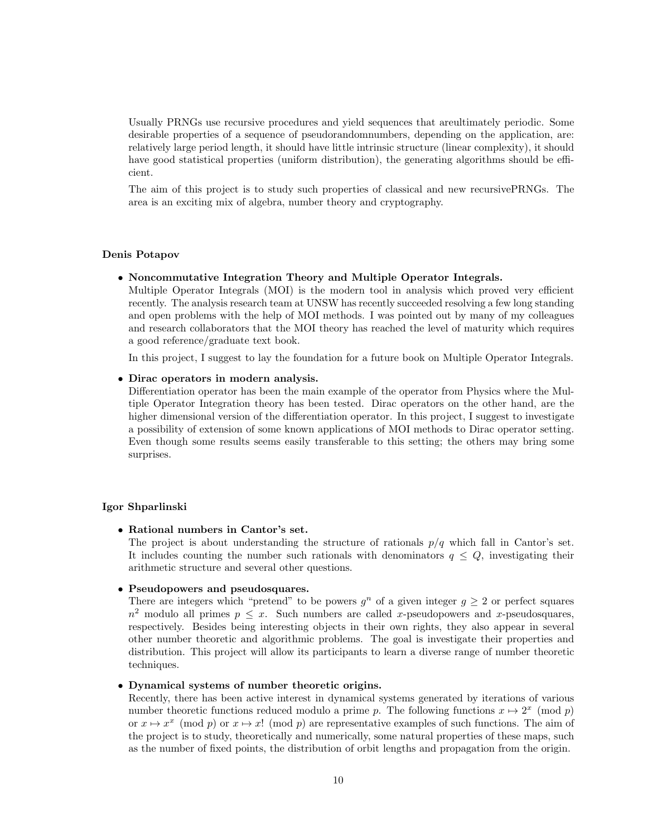Usually PRNGs use recursive procedures and yield sequences that areultimately periodic. Some desirable properties of a sequence of pseudorandomnumbers, depending on the application, are: relatively large period length, it should have little intrinsic structure (linear complexity), it should have good statistical properties (uniform distribution), the generating algorithms should be efficient.

The aim of this project is to study such properties of classical and new recursivePRNGs. The area is an exciting mix of algebra, number theory and cryptography.

### Denis Potapov

### • Noncommutative Integration Theory and Multiple Operator Integrals.

Multiple Operator Integrals (MOI) is the modern tool in analysis which proved very efficient recently. The analysis research team at UNSW has recently succeeded resolving a few long standing and open problems with the help of MOI methods. I was pointed out by many of my colleagues and research collaborators that the MOI theory has reached the level of maturity which requires a good reference/graduate text book.

In this project, I suggest to lay the foundation for a future book on Multiple Operator Integrals.

#### • Dirac operators in modern analysis.

Differentiation operator has been the main example of the operator from Physics where the Multiple Operator Integration theory has been tested. Dirac operators on the other hand, are the higher dimensional version of the differentiation operator. In this project, I suggest to investigate a possibility of extension of some known applications of MOI methods to Dirac operator setting. Even though some results seems easily transferable to this setting; the others may bring some surprises.

#### Igor Shparlinski

• Rational numbers in Cantor's set.

The project is about understanding the structure of rationals  $p/q$  which fall in Cantor's set. It includes counting the number such rationals with denominators  $q \leq Q$ , investigating their arithmetic structure and several other questions.

## • Pseudopowers and pseudosquares.

There are integers which "pretend" to be powers  $g<sup>n</sup>$  of a given integer  $g \ge 2$  or perfect squares  $n^2$  modulo all primes  $p \leq x$ . Such numbers are called x-pseudopowers and x-pseudosquares, respectively. Besides being interesting objects in their own rights, they also appear in several other number theoretic and algorithmic problems. The goal is investigate their properties and distribution. This project will allow its participants to learn a diverse range of number theoretic techniques.

#### • Dynamical systems of number theoretic origins.

Recently, there has been active interest in dynamical systems generated by iterations of various number theoretic functions reduced modulo a prime p. The following functions  $x \mapsto 2^x \pmod{p}$ or  $x \mapsto x^x \pmod{p}$  or  $x \mapsto x! \pmod{p}$  are representative examples of such functions. The aim of the project is to study, theoretically and numerically, some natural properties of these maps, such as the number of fixed points, the distribution of orbit lengths and propagation from the origin.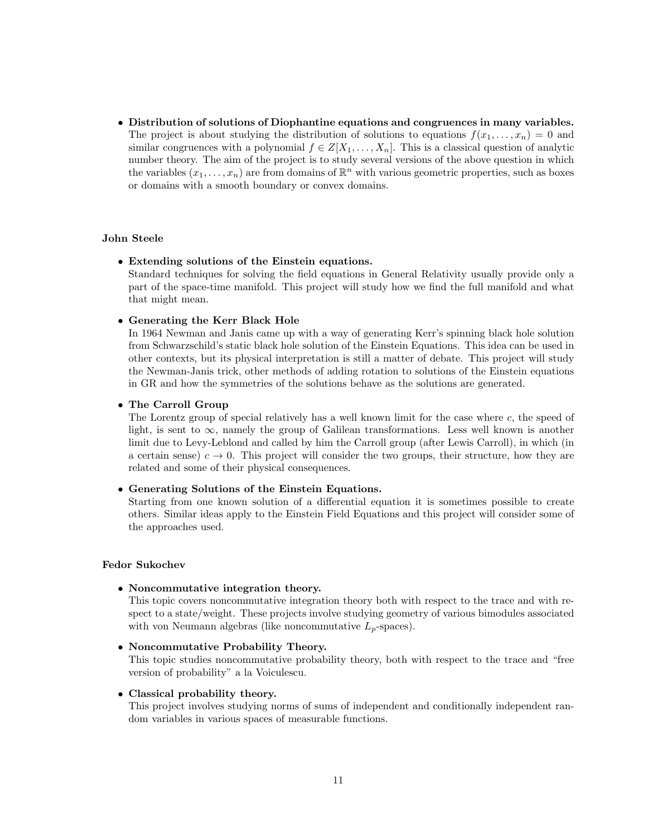• Distribution of solutions of Diophantine equations and congruences in many variables. The project is about studying the distribution of solutions to equations  $f(x_1, \ldots, x_n) = 0$  and similar congruences with a polynomial  $f \in Z[X_1, \ldots, X_n]$ . This is a classical question of analytic number theory. The aim of the project is to study several versions of the above question in which the variables  $(x_1, \ldots, x_n)$  are from domains of  $\mathbb{R}^n$  with various geometric properties, such as boxes or domains with a smooth boundary or convex domains.

# John Steele

#### • Extending solutions of the Einstein equations.

Standard techniques for solving the field equations in General Relativity usually provide only a part of the space-time manifold. This project will study how we find the full manifold and what that might mean.

### • Generating the Kerr Black Hole

In 1964 Newman and Janis came up with a way of generating Kerr's spinning black hole solution from Schwarzschild's static black hole solution of the Einstein Equations. This idea can be used in other contexts, but its physical interpretation is still a matter of debate. This project will study the Newman-Janis trick, other methods of adding rotation to solutions of the Einstein equations in GR and how the symmetries of the solutions behave as the solutions are generated.

## • The Carroll Group

The Lorentz group of special relatively has a well known limit for the case where c, the speed of light, is sent to  $\infty$ , namely the group of Galilean transformations. Less well known is another limit due to Levy-Leblond and called by him the Carroll group (after Lewis Carroll), in which (in a certain sense)  $c \to 0$ . This project will consider the two groups, their structure, how they are related and some of their physical consequences.

### • Generating Solutions of the Einstein Equations.

Starting from one known solution of a differential equation it is sometimes possible to create others. Similar ideas apply to the Einstein Field Equations and this project will consider some of the approaches used.

# Fedor Sukochev

• Noncommutative integration theory.

This topic covers noncommutative integration theory both with respect to the trace and with respect to a state/weight. These projects involve studying geometry of various bimodules associated with von Neumann algebras (like noncommutative  $L_p$ -spaces).

### • Noncommutative Probability Theory.

This topic studies noncommutative probability theory, both with respect to the trace and "free version of probability" a la Voiculescu.

## • Classical probability theory.

This project involves studying norms of sums of independent and conditionally independent random variables in various spaces of measurable functions.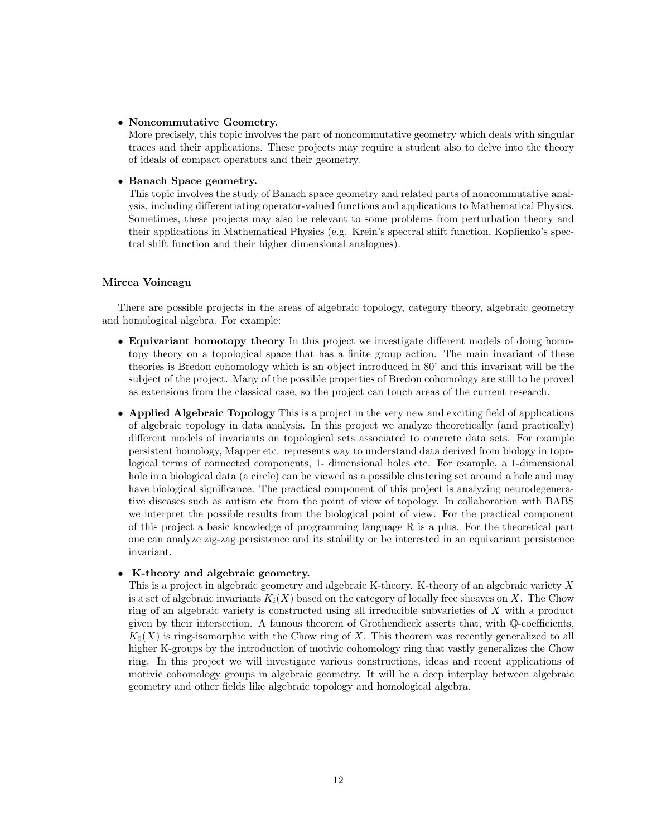### • Noncommutative Geometry.

More precisely, this topic involves the part of noncommutative geometry which deals with singular traces and their applications. These projects may require a student also to delve into the theory of ideals of compact operators and their geometry.

## • Banach Space geometry.

This topic involves the study of Banach space geometry and related parts of noncommutative analysis, including differentiating operator-valued functions and applications to Mathematical Physics. Sometimes, these projects may also be relevant to some problems from perturbation theory and their applications in Mathematical Physics (e.g. Krein's spectral shift function, Koplienko's spectral shift function and their higher dimensional analogues).

## Mircea Voineagu

There are possible projects in the areas of algebraic topology, category theory, algebraic geometry and homological algebra. For example:

- Equivariant homotopy theory In this project we investigate different models of doing homotopy theory on a topological space that has a finite group action. The main invariant of these theories is Bredon cohomology which is an object introduced in 80' and this invariant will be the subject of the project. Many of the possible properties of Bredon cohomology are still to be proved as extensions from the classical case, so the project can touch areas of the current research.
- Applied Algebraic Topology This is a project in the very new and exciting field of applications of algebraic topology in data analysis. In this project we analyze theoretically (and practically) different models of invariants on topological sets associated to concrete data sets. For example persistent homology, Mapper etc. represents way to understand data derived from biology in topological terms of connected components, 1- dimensional holes etc. For example, a 1-dimensional hole in a biological data (a circle) can be viewed as a possible clustering set around a hole and may have biological significance. The practical component of this project is analyzing neurodegenerative diseases such as autism etc from the point of view of topology. In collaboration with BABS we interpret the possible results from the biological point of view. For the practical component of this project a basic knowledge of programming language R is a plus. For the theoretical part one can analyze zig-zag persistence and its stability or be interested in an equivariant persistence invariant.

## • K-theory and algebraic geometry.

This is a project in algebraic geometry and algebraic K-theory. K-theory of an algebraic variety X is a set of algebraic invariants  $K_i(X)$  based on the category of locally free sheaves on X. The Chow ring of an algebraic variety is constructed using all irreducible subvarieties of X with a product given by their intersection. A famous theorem of Grothendieck asserts that, with Q-coefficients,  $K_0(X)$  is ring-isomorphic with the Chow ring of X. This theorem was recently generalized to all higher K-groups by the introduction of motivic cohomology ring that vastly generalizes the Chow ring. In this project we will investigate various constructions, ideas and recent applications of motivic cohomology groups in algebraic geometry. It will be a deep interplay between algebraic geometry and other fields like algebraic topology and homological algebra.